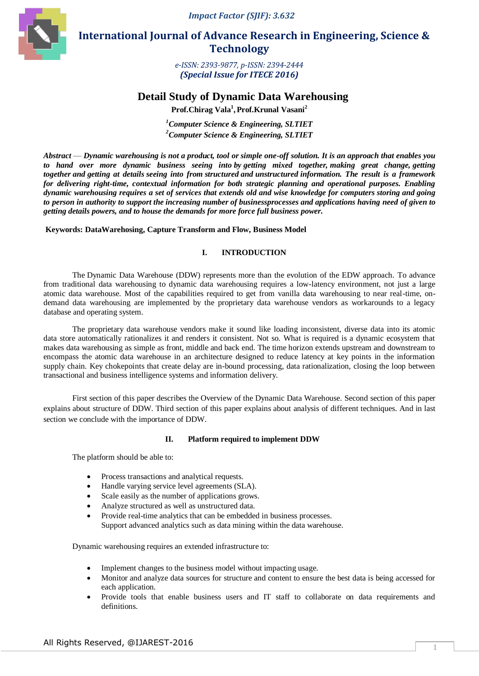*Impact Factor (SJIF): 3.632*



 **International Journal of Advance Research in Engineering, Science & Technology** 

> *e-ISSN: 2393-9877, p-ISSN: 2394-2444 (Special Issue for ITECE 2016)*

# **Detail Study of Dynamic Data Warehousing**

**Prof.Chirag Vala<sup>1</sup> , Prof.Krunal Vasani<sup>2</sup>**

*<sup>1</sup>Computer Science & Engineering, SLTIET <sup>2</sup>Computer Science & Engineering, SLTIET*

*Abstract* — *Dynamic warehousing is not a product, tool or simple one-off solution. It is an approach that enables you to hand over more dynamic business seeing into by getting mixed together, making great change, getting together and getting at details seeing into from structured and unstructured [information.](http://www.simplish.org/conversion/0E279E48/#anchor1) The result is a framework for delivering right-time, contextual information for both strategic planning and operational purposes. Enabling dynamic warehousing requires a set of services that extends old and wise knowledge for computers storing and going to person in authority to support the increasing number of businessprocesses and applications having need of given to getting details powers, and to house the demands for more force full business power.*

## **Keywords: DataWarehosing, Capture Transform and Flow, Business Model**

# **I. INTRODUCTION**

The Dynamic Data Warehouse (DDW) represents more than the evolution of the EDW approach. To advance from traditional data warehousing to dynamic data warehousing requires a low-latency environment, not just a large atomic data warehouse. Most of the capabilities required to get from vanilla data warehousing to near real-time, ondemand data warehousing are implemented by the proprietary data warehouse vendors as workarounds to a legacy database and operating system.

The proprietary data warehouse vendors make it sound like loading inconsistent, diverse data into its atomic data store automatically rationalizes it and renders it consistent. Not so. What is required is a dynamic ecosystem that makes data warehousing as simple as front, middle and back end. The time horizon extends upstream and downstream to encompass the atomic data warehouse in an architecture designed to reduce latency at key points in the information supply chain. Key chokepoints that create delay are in-bound processing, data rationalization, closing the loop between transactional and business intelligence systems and information delivery.

 First section of this paper describes the Overview of the Dynamic Data Warehouse. Second section of this paper explains about structure of DDW. Third section of this paper explains about analysis of different techniques. And in last section we conclude with the importance of DDW.

## **II. Platform required to implement DDW**

The platform should be able to:

- Process transactions and analytical requests.
- Handle varying service level agreements (SLA).
- Scale easily as the number of applications grows.
- Analyze structured as well as unstructured data.
- Provide real-time analytics that can be embedded in business processes. Support advanced analytics such as data mining within the data warehouse.

Dynamic warehousing requires an extended infrastructure to:

- Implement changes to the business model without impacting usage.
- Monitor and analyze data sources for structure and content to ensure the best data is being accessed for each application.
- Provide tools that enable business users and IT staff to collaborate on data requirements and definitions.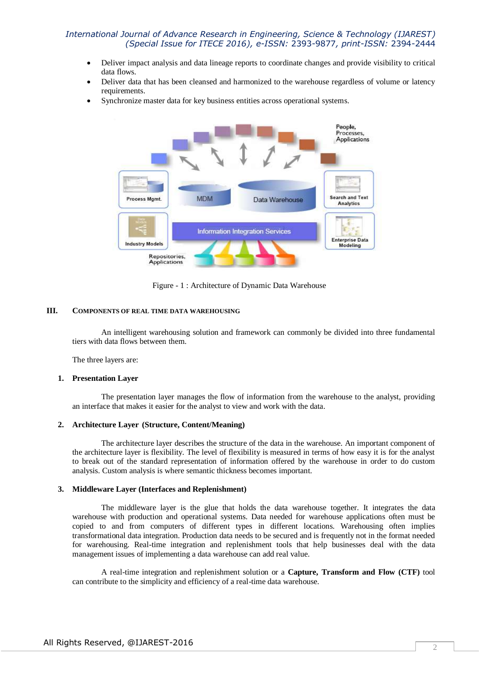# *International Journal of Advance Research in Engineering, Science & Technology (IJAREST) (Special Issue for ITECE 2016), e-ISSN:* 2393-9877*, print-ISSN:* 2394-2444

- Deliver impact analysis and data lineage reports to coordinate changes and provide visibility to critical data flows.
- Deliver data that has been cleansed and harmonized to the warehouse regardless of volume or latency requirements.
- Synchronize master data for key business entities across operational systems.



Figure - 1 : Architecture of Dynamic Data Warehouse

### **III. COMPONENTS OF REAL TIME DATA WAREHOUSING**

An intelligent warehousing solution and framework can commonly be divided into three fundamental tiers with data flows between them.

The three layers are:

#### **1. Presentation Layer**

The presentation layer manages the flow of information from the warehouse to the analyst, providing an interface that makes it easier for the analyst to view and work with the data.

#### **2. Architecture Layer (Structure, Content/Meaning)**

The architecture layer describes the structure of the data in the warehouse. An important component of the architecture layer is flexibility. The level of flexibility is measured in terms of how easy it is for the analyst to break out of the standard representation of information offered by the warehouse in order to do custom analysis. Custom analysis is where semantic thickness becomes important.

#### **3. Middleware Layer (Interfaces and Replenishment)**

The middleware layer is the glue that holds the data warehouse together. It integrates the data warehouse with production and operational systems. Data needed for warehouse applications often must be copied to and from computers of different types in different locations. Warehousing often implies transformational data integration. Production data needs to be secured and is frequently not in the format needed for warehousing. Real-time integration and replenishment tools that help businesses deal with the data management issues of implementing a data warehouse can add real value.

A real-time integration and replenishment solution or a **Capture, Transform and Flow (CTF)** tool can contribute to the simplicity and efficiency of a real-time data warehouse.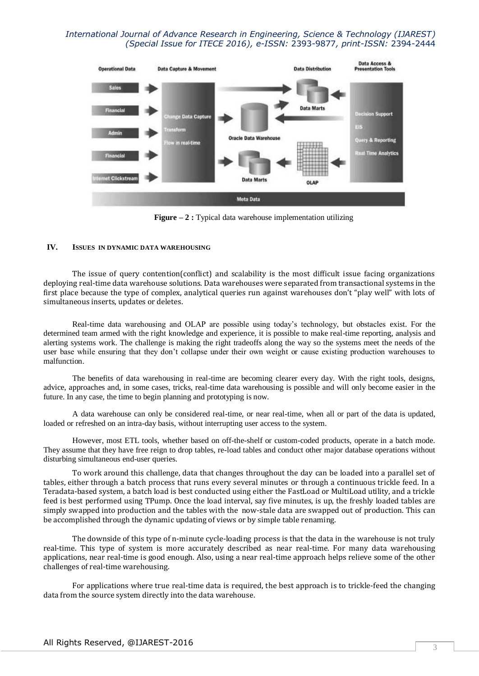# *International Journal of Advance Research in Engineering, Science & Technology (IJAREST) (Special Issue for ITECE 2016), e-ISSN:* 2393-9877*, print-ISSN:* 2394-2444



**Figure** – 2 : Typical data warehouse implementation utilizing

### **IV. ISSUES IN DYNAMIC DATA WAREHOUSING**

The issue of query contention(conflict) and scalability is the most difficult issue facing organizations deploying real-time data warehouse solutions. Data warehouses were separated from transactional systems in the first place because the type of complex, analytical queries run against warehouses don't "play well" with lots of simultaneous inserts, updates or deletes.

Real-time data warehousing and OLAP are possible using today's technology, but obstacles exist. For the determined team armed with the right knowledge and experience, it is possible to make real-time reporting, analysis and alerting systems work. The challenge is making the right tradeoffs along the way so the systems meet the needs of the user base while ensuring that they don't collapse under their own weight or cause existing production warehouses to malfunction.

The benefits of data warehousing in real-time are becoming clearer every day. With the right tools, designs, advice, approaches and, in some cases, tricks, real-time data warehousing is possible and will only become easier in the future. In any case, the time to begin planning and prototyping is now.

A data warehouse can only be considered real-time, or near real-time, when all or part of the data is updated, loaded or refreshed on an intra-day basis, without interrupting user access to the system.

However, most ETL tools, whether based on off-the-shelf or custom-coded products, operate in a batch mode. They assume that they have free reign to drop tables, re-load tables and conduct other major database operations without disturbing simultaneous end-user queries.

To work around this challenge, data that changes throughout the day can be loaded into a parallel set of tables, either through a batch process that runs every several minutes or through a continuous trickle feed. In a Teradata-based system, a batch load is best conducted using either the FastLoad or MultiLoad utility, and a trickle feed is best performed using TPump. Once the load interval, say five minutes, is up, the freshly loaded tables are simply swapped into production and the tables with the now-stale data are swapped out of production. This can be accomplished through the dynamic updating of views or by simple table renaming.

The downside of this type of n-minute cycle-loading process is that the data in the warehouse is not truly real-time. This type of system is more accurately described as near real-time. For many data warehousing applications, near real-time is good enough. Also, using a near real-time approach helps relieve some of the other challenges of real-time warehousing.

For applications where true real-time data is required, the best approach is to trickle-feed the changing data from the source system directly into the data warehouse.